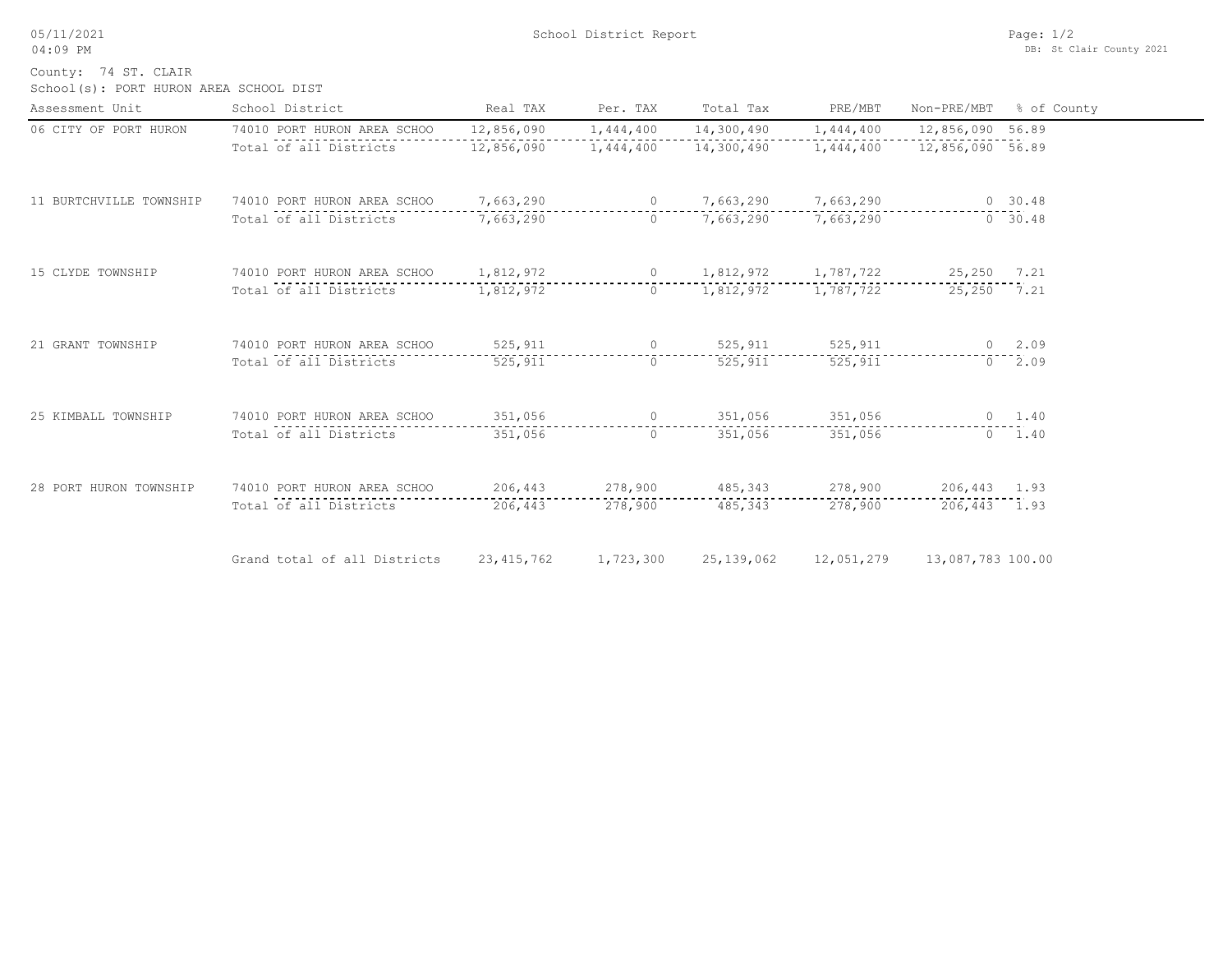05/11/2021 04:09 PM

School(s): PORT HURON AREA SCHOOL DIST County: 74 ST. CLAIR

| Assessment Unit         | School District                       | Real TAX     | Per. TAX  | Total Tax                 | PRE/MBT                                     | Non-PRE/MBT          | % of County    |
|-------------------------|---------------------------------------|--------------|-----------|---------------------------|---------------------------------------------|----------------------|----------------|
| 06 CITY OF PORT HURON   | 74010 PORT HURON AREA SCHOO           | 12,856,090   | 1,444,400 |                           | 14,300,490   1,444,400                      | 12,856,090 56.89     |                |
|                         | Total of all Districts                | 12,856,090   | 1,444,400 |                           | 14,300,490   1,444,400   12,856,090   56.89 |                      |                |
| 11 BURTCHVILLE TOWNSHIP | 74010 PORT HURON AREA SCHOO           | 7,663,290    |           | 0 7,663,290 7,663,290     |                                             |                      | 0, 30, 48      |
|                         | Total of all Districts                | 7,663,290    | $\Omega$  |                           | 7,663,290 7,663,290                         |                      | 0 30.48        |
| 15 CLYDE TOWNSHIP       | 74010 PORT HURON AREA SCHOO 1,812,972 |              |           | 0 $1,812,972$ $1,787,722$ |                                             | 25,250 7.21          |                |
|                         | Total of all Districts                | 1,812,972    | $\circ$   |                           | 1,812,972 1,787,722                         | 25,250 7.21          |                |
| 21 GRANT TOWNSHIP       | 74010 PORT HURON AREA SCHOO           | 525,911      |           | 0 525,911 525,911         |                                             |                      | $0 \quad 2.09$ |
|                         | Total of all Districts                | 525,911      | $\circ$   | 525,911                   | 525,911                                     |                      | $0 \quad 2.09$ |
| 25 KIMBALL TOWNSHIP     | 74010 PORT HURON AREA SCHOO           | 351,056      |           | 0 351,056 351,056         |                                             |                      | $0 \t 1.40$    |
|                         | Total of all Districts                | 351,056      | $\Omega$  | 351,056                   | 351,056                                     |                      | $0 \quad 1.40$ |
| 28 PORT HURON TOWNSHIP  | 74010 PORT HURON AREA SCHOO           |              |           | 206,443 278,900 485,343   |                                             | 278,900 206,443 1.93 |                |
|                         | Total of all Districts                | 206,443      | 278,900   | 485, 343                  | 278,900                                     | 206,443 1.93         |                |
|                         | Grand total of all Districts          | 23, 415, 762 | 1,723,300 | 25, 139, 062              | 12,051,279                                  | 13,087,783 100.00    |                |